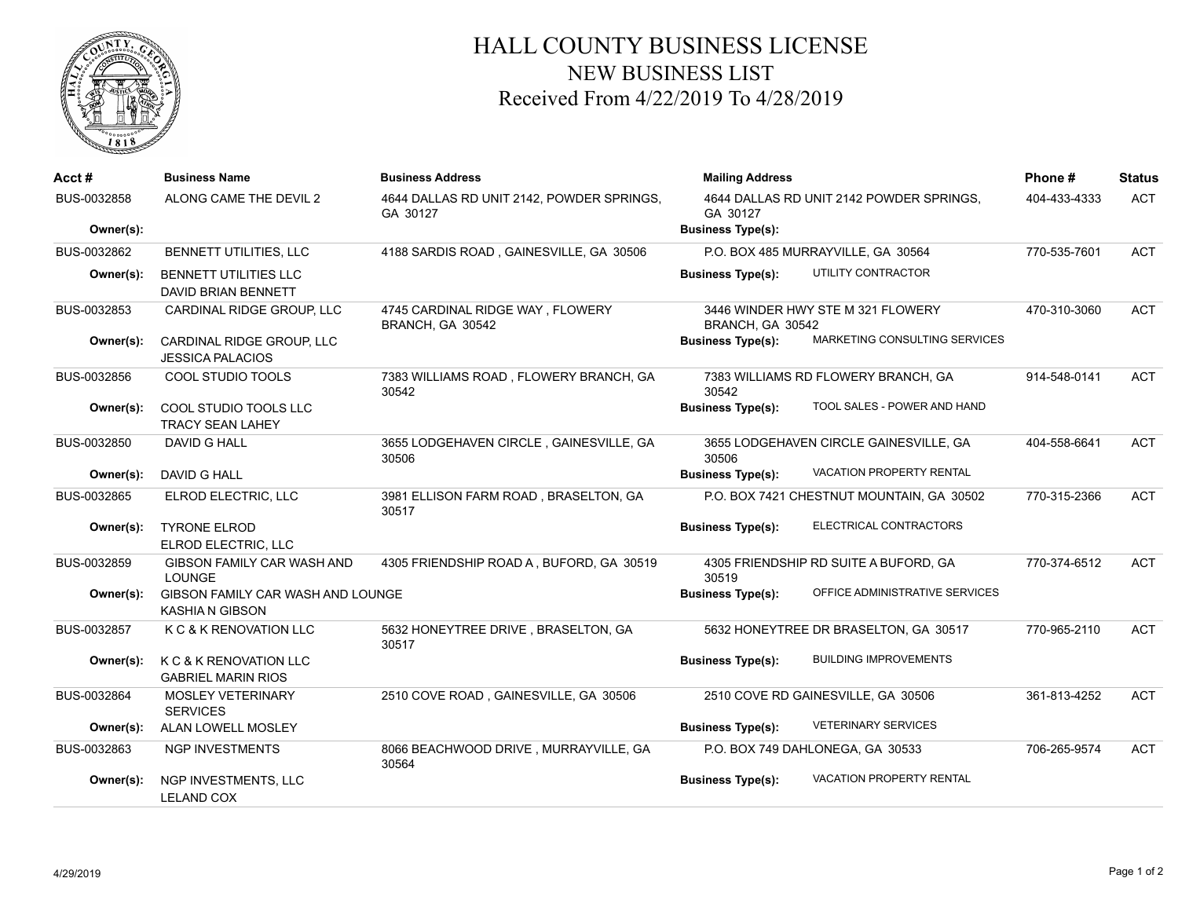

## HALL COUNTY BUSINESS LICENSE NEW BUSINESS LIST Received From 4/22/2019 To 4/28/2019

| Acct#                    | <b>Business Name</b>                                        | <b>Business Address</b>                               | <b>Mailing Address</b><br>4644 DALLAS RD UNIT 2142 POWDER SPRINGS.<br>GA 30127<br><b>Business Type(s):</b> |                                           | Phone#       | <b>Status</b> |
|--------------------------|-------------------------------------------------------------|-------------------------------------------------------|------------------------------------------------------------------------------------------------------------|-------------------------------------------|--------------|---------------|
| BUS-0032858<br>Owner(s): | ALONG CAME THE DEVIL 2                                      | 4644 DALLAS RD UNIT 2142, POWDER SPRINGS,<br>GA 30127 |                                                                                                            |                                           | 404-433-4333 | <b>ACT</b>    |
| BUS-0032862              | BENNETT UTILITIES, LLC                                      | 4188 SARDIS ROAD, GAINESVILLE, GA 30506               | P.O. BOX 485 MURRAYVILLE, GA 30564                                                                         |                                           | 770-535-7601 | <b>ACT</b>    |
| Owner(s):                | <b>BENNETT UTILITIES LLC</b><br>DAVID BRIAN BENNETT         |                                                       | <b>Business Type(s):</b>                                                                                   | UTILITY CONTRACTOR                        |              |               |
| BUS-0032853              | CARDINAL RIDGE GROUP, LLC                                   | 4745 CARDINAL RIDGE WAY, FLOWERY<br>BRANCH, GA 30542  | BRANCH, GA 30542                                                                                           | 3446 WINDER HWY STE M 321 FLOWERY         | 470-310-3060 | <b>ACT</b>    |
| Owner(s):                | CARDINAL RIDGE GROUP, LLC<br><b>JESSICA PALACIOS</b>        |                                                       | <b>Business Type(s):</b>                                                                                   | MARKETING CONSULTING SERVICES             |              |               |
| BUS-0032856              | COOL STUDIO TOOLS                                           | 7383 WILLIAMS ROAD, FLOWERY BRANCH, GA<br>30542       | 30542                                                                                                      | 7383 WILLIAMS RD FLOWERY BRANCH, GA       | 914-548-0141 | <b>ACT</b>    |
| Owner(s):                | COOL STUDIO TOOLS LLC<br><b>TRACY SEAN LAHEY</b>            |                                                       | <b>Business Type(s):</b>                                                                                   | TOOL SALES - POWER AND HAND               |              |               |
| BUS-0032850              | <b>DAVID G HALL</b>                                         | 3655 LODGEHAVEN CIRCLE, GAINESVILLE, GA<br>30506      | 30506                                                                                                      | 3655 LODGEHAVEN CIRCLE GAINESVILLE, GA    | 404-558-6641 | <b>ACT</b>    |
| Owner(s):                | DAVID G HALL                                                |                                                       | <b>Business Type(s):</b>                                                                                   | VACATION PROPERTY RENTAL                  |              |               |
| BUS-0032865              | ELROD ELECTRIC, LLC                                         | 3981 ELLISON FARM ROAD, BRASELTON, GA<br>30517        |                                                                                                            | P.O. BOX 7421 CHESTNUT MOUNTAIN, GA 30502 | 770-315-2366 | <b>ACT</b>    |
| Owner(s):                | <b>TYRONE ELROD</b><br>ELROD ELECTRIC, LLC                  |                                                       | <b>Business Type(s):</b>                                                                                   | ELECTRICAL CONTRACTORS                    |              |               |
| BUS-0032859              | <b>GIBSON FAMILY CAR WASH AND</b><br><b>LOUNGE</b>          | 4305 FRIENDSHIP ROAD A, BUFORD, GA 30519              | 30519                                                                                                      | 4305 FRIENDSHIP RD SUITE A BUFORD, GA     | 770-374-6512 | <b>ACT</b>    |
| Owner(s):                | GIBSON FAMILY CAR WASH AND LOUNGE<br><b>KASHIA N GIBSON</b> |                                                       | <b>Business Type(s):</b>                                                                                   | OFFICE ADMINISTRATIVE SERVICES            |              |               |
| BUS-0032857              | K C & K RENOVATION LLC                                      | 5632 HONEYTREE DRIVE, BRASELTON, GA<br>30517          |                                                                                                            | 5632 HONEYTREE DR BRASELTON, GA 30517     | 770-965-2110 | <b>ACT</b>    |
| Owner(s):                | K C & K RENOVATION LLC<br><b>GABRIEL MARIN RIOS</b>         |                                                       | <b>Business Type(s):</b>                                                                                   | <b>BUILDING IMPROVEMENTS</b>              |              |               |
| BUS-0032864              | MOSLEY VETERINARY<br><b>SERVICES</b>                        | 2510 COVE ROAD, GAINESVILLE, GA 30506                 |                                                                                                            | 2510 COVE RD GAINESVILLE, GA 30506        | 361-813-4252 | <b>ACT</b>    |
| Owner(s):                | <b>ALAN LOWELL MOSLEY</b>                                   |                                                       | <b>Business Type(s):</b>                                                                                   | <b>VETERINARY SERVICES</b>                |              |               |
| BUS-0032863              | <b>NGP INVESTMENTS</b>                                      | 8066 BEACHWOOD DRIVE, MURRAYVILLE, GA<br>30564        | P.O. BOX 749 DAHLONEGA, GA 30533                                                                           |                                           | 706-265-9574 | <b>ACT</b>    |
| Owner(s):                | NGP INVESTMENTS, LLC<br><b>LELAND COX</b>                   |                                                       | <b>Business Type(s):</b>                                                                                   | <b>VACATION PROPERTY RENTAL</b>           |              |               |